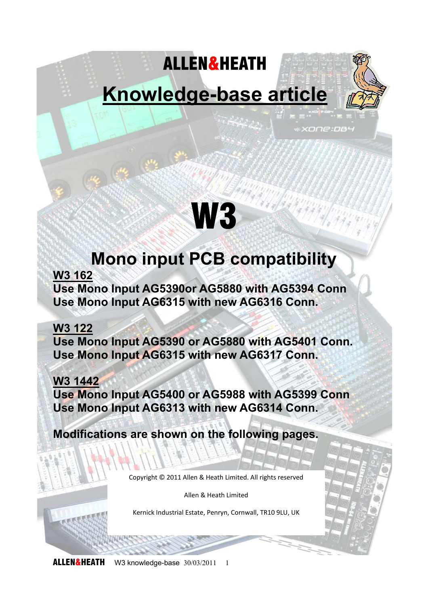## ALLEN&HEATH

**Knowledge-base article** 

xone:pa

# W3

## **Mono input PCB compatibility**

**W3 162** 

**Use Mono Input AG5390or AG5880 with AG5394 Conn Use Mono Input AG6315 with new AG6316 Conn.** 

#### **W3 122**

**Use Mono Input AG5390 or AG5880 with AG5401 Conn. Use Mono Input AG6315 with new AG6317 Conn.** 

### **W3 1442**

**Use Mono Input AG5400 or AG5988 with AG5399 Conn Use Mono Input AG6313 with new AG6314 Conn.** 

**Modifications are shown on the following pages.** 

Copyright © 2011 Allen & Heath Limited. All rights reserved

Allen & Heath Limited

Kernick Industrial Estate, Penryn, Cornwall, TR10 9LU, UK

**ALLEN&HEATH** W3 knowledge-base 30/03/2011 1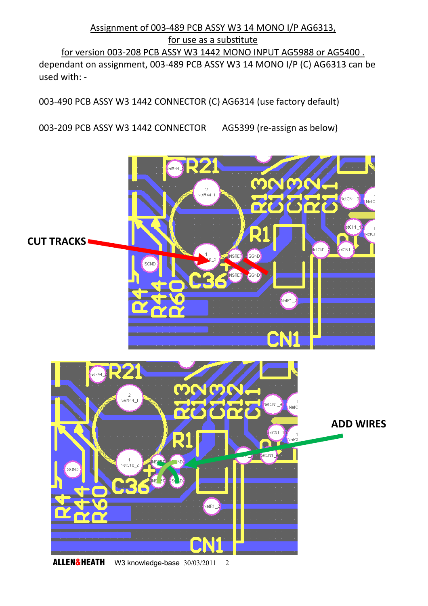#### Assignment of 003-489 PCB ASSY W3 14 MONO I/P AG6313, for use as a substitute for version 003-208 PCB ASSY W3 1442 MONO INPUT AG5988 or AG5400 . dependant on assignment, 003-489 PCB ASSY W3 14 MONO I/P (C) AG6313 can be used with: -

003-490 PCB ASSY W3 1442 CONNECTOR (C) AG6314 (use factory default)

003-209 PCB ASSY W3 1442 CONNECTOR AG5399 (re-assign as below)